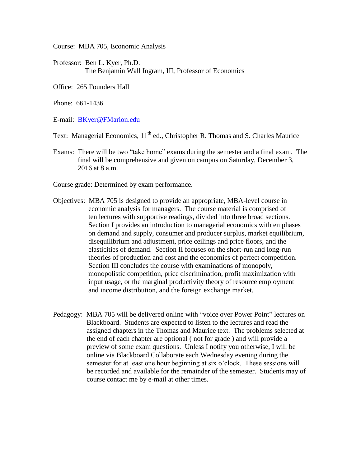Course: MBA 705, Economic Analysis

- Professor: Ben L. Kyer, Ph.D. The Benjamin Wall Ingram, III, Professor of Economics
- Office: 265 Founders Hall

Phone: 661-1436

E-mail: [BKyer@FMarion.edu](mailto:BKyer@FMarion.edu)

Text: Managerial Economics, 11<sup>th</sup> ed., Christopher R. Thomas and S. Charles Maurice

Exams: There will be two "take home" exams during the semester and a final exam. The final will be comprehensive and given on campus on Saturday, December 3, 2016 at 8 a.m.

Course grade: Determined by exam performance.

- Objectives: MBA 705 is designed to provide an appropriate, MBA-level course in economic analysis for managers. The course material is comprised of ten lectures with supportive readings, divided into three broad sections. Section I provides an introduction to managerial economics with emphases on demand and supply, consumer and producer surplus, market equilibrium, disequilibrium and adjustment, price ceilings and price floors, and the elasticities of demand. Section II focuses on the short-run and long-run theories of production and cost and the economics of perfect competition. Section III concludes the course with examinations of monopoly, monopolistic competition, price discrimination, profit maximization with input usage, or the marginal productivity theory of resource employment and income distribution, and the foreign exchange market.
- Pedagogy: MBA 705 will be delivered online with "voice over Power Point" lectures on Blackboard. Students are expected to listen to the lectures and read the assigned chapters in the Thomas and Maurice text. The problems selected at the end of each chapter are optional ( not for grade ) and will provide a preview of some exam questions. Unless I notify you otherwise, I will be online via Blackboard Collaborate each Wednesday evening during the semester for at least one hour beginning at six o'clock. These sessions will be recorded and available for the remainder of the semester. Students may of course contact me by e-mail at other times.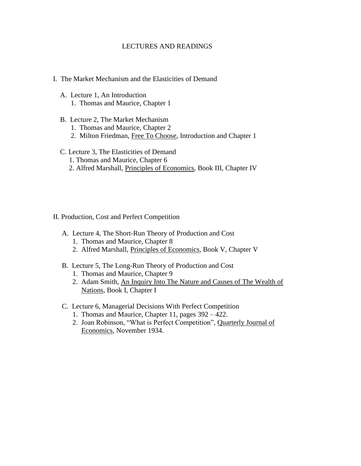### LECTURES AND READINGS

### I. The Market Mechanism and the Elasticities of Demand

- A. Lecture 1, An Introduction 1. Thomas and Maurice, Chapter 1
- B. Lecture 2, The Market Mechanism
	- 1. Thomas and Maurice, Chapter 2
	- 2. Milton Friedman, Free To Choose, Introduction and Chapter 1

# C. Lecture 3, The Elasticities of Demand

- 1. Thomas and Maurice, Chapter 6
- 2. Alfred Marshall, Principles of Economics, Book III, Chapter IV

### II. Production, Cost and Perfect Competition

- A. Lecture 4, The Short-Run Theory of Production and Cost
	- 1. Thomas and Maurice, Chapter 8
	- 2. Alfred Marshall, Principles of Economics, Book V, Chapter V
- B. Lecture 5, The Long-Run Theory of Production and Cost
	- 1. Thomas and Maurice, Chapter 9
	- 2. Adam Smith, An Inquiry Into The Nature and Causes of The Wealth of Nations, Book I, Chapter I
- C. Lecture 6, Managerial Decisions With Perfect Competition
	- 1. Thomas and Maurice, Chapter 11, pages 392 422.
	- 2. Joan Robinson, "What is Perfect Competition", Quarterly Journal of Economics, November 1934.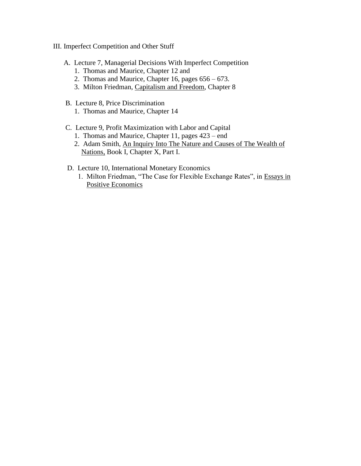- III. Imperfect Competition and Other Stuff
	- A. Lecture 7, Managerial Decisions With Imperfect Competition
		- 1. Thomas and Maurice, Chapter 12 and
		- 2. Thomas and Maurice, Chapter 16, pages 656 673.
		- 3. Milton Friedman, Capitalism and Freedom, Chapter 8
	- B. Lecture 8, Price Discrimination
		- 1. Thomas and Maurice, Chapter 14
	- C. Lecture 9, Profit Maximization with Labor and Capital
		- 1. Thomas and Maurice, Chapter 11, pages 423 end
		- 2. Adam Smith, An Inquiry Into The Nature and Causes of The Wealth of Nations, Book I, Chapter X, Part I.
	- D. Lecture 10, International Monetary Economics
		- 1. Milton Friedman, "The Case for Flexible Exchange Rates", in Essays in Positive Economics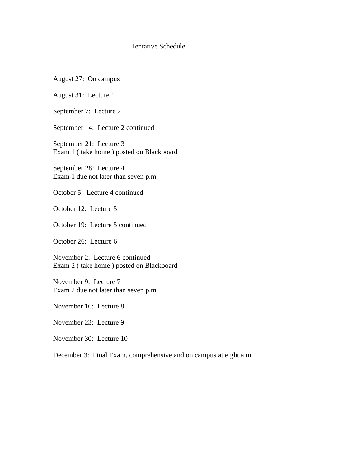## Tentative Schedule

August 27: On campus

August 31: Lecture 1

September 7: Lecture 2

September 14: Lecture 2 continued

September 21: Lecture 3 Exam 1 ( take home ) posted on Blackboard

September 28: Lecture 4 Exam 1 due not later than seven p.m.

October 5: Lecture 4 continued

October 12: Lecture 5

October 19: Lecture 5 continued

October 26: Lecture 6

November 2: Lecture 6 continued Exam 2 ( take home ) posted on Blackboard

November 9: Lecture 7 Exam 2 due not later than seven p.m.

November 16: Lecture 8

November 23: Lecture 9

November 30: Lecture 10

December 3: Final Exam, comprehensive and on campus at eight a.m.